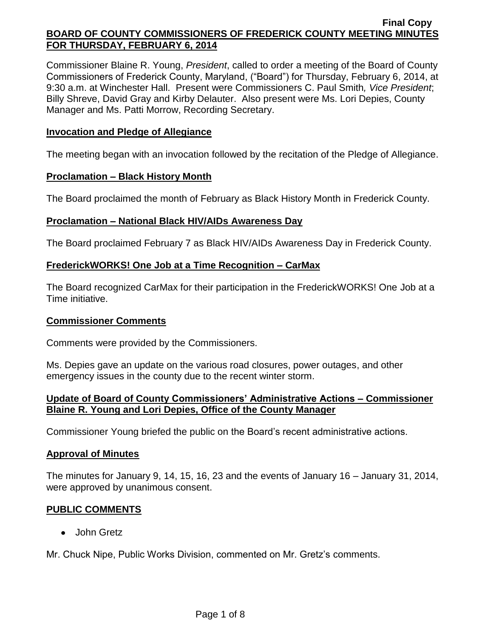Commissioner Blaine R. Young, *President*, called to order a meeting of the Board of County Commissioners of Frederick County, Maryland, ("Board") for Thursday, February 6, 2014, at 9:30 a.m. at Winchester Hall. Present were Commissioners C. Paul Smith*, Vice President*; Billy Shreve, David Gray and Kirby Delauter. Also present were Ms. Lori Depies, County Manager and Ms. Patti Morrow, Recording Secretary.

## **Invocation and Pledge of Allegiance**

The meeting began with an invocation followed by the recitation of the Pledge of Allegiance.

### **Proclamation – Black History Month**

The Board proclaimed the month of February as Black History Month in Frederick County.

# **Proclamation – National Black HIV/AIDs Awareness Day**

The Board proclaimed February 7 as Black HIV/AIDs Awareness Day in Frederick County.

# **FrederickWORKS! One Job at a Time Recognition – CarMax**

The Board recognized CarMax for their participation in the FrederickWORKS! One Job at a Time initiative.

### **Commissioner Comments**

Comments were provided by the Commissioners.

Ms. Depies gave an update on the various road closures, power outages, and other emergency issues in the county due to the recent winter storm.

# **Update of Board of County Commissioners' Administrative Actions – Commissioner Blaine R. Young and Lori Depies, Office of the County Manager**

Commissioner Young briefed the public on the Board's recent administrative actions.

### **Approval of Minutes**

The minutes for January 9, 14, 15, 16, 23 and the events of January 16 – January 31, 2014, were approved by unanimous consent.

# **PUBLIC COMMENTS**

John Gretz

Mr. Chuck Nipe, Public Works Division, commented on Mr. Gretz's comments.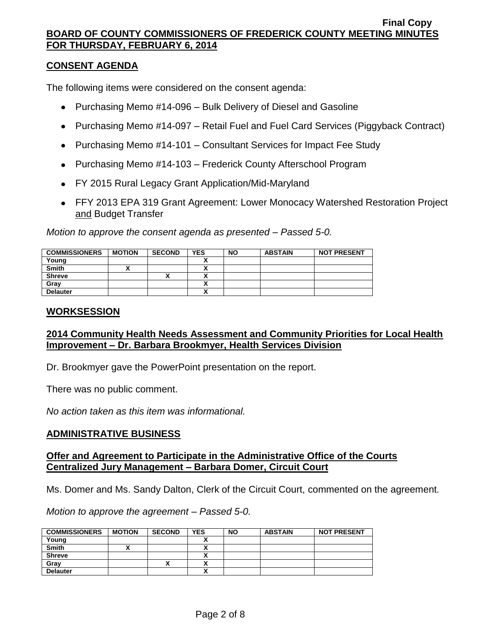### **CONSENT AGENDA**

The following items were considered on the consent agenda:

- Purchasing Memo #14-096 Bulk Delivery of Diesel and Gasoline
- Purchasing Memo #14-097 Retail Fuel and Fuel Card Services (Piggyback Contract)
- Purchasing Memo #14-101 Consultant Services for Impact Fee Study
- Purchasing Memo #14-103 Frederick County Afterschool Program
- FY 2015 Rural Legacy Grant Application/Mid-Maryland
- FFY 2013 EPA 319 Grant Agreement: Lower Monocacy Watershed Restoration Project and Budget Transfer

*Motion to approve the consent agenda as presented – Passed 5-0.*

| <b>COMMISSIONERS</b> | <b>MOTION</b> | <b>SECOND</b> | <b>YES</b> | <b>NO</b> | <b>ABSTAIN</b> | <b>NOT PRESENT</b> |
|----------------------|---------------|---------------|------------|-----------|----------------|--------------------|
| Young                |               |               |            |           |                |                    |
| <b>Smith</b>         |               |               |            |           |                |                    |
| <b>Shreve</b>        |               | Λ             |            |           |                |                    |
| Gray                 |               |               |            |           |                |                    |
| <b>Delauter</b>      |               |               |            |           |                |                    |

#### **WORKSESSION**

# **2014 Community Health Needs Assessment and Community Priorities for Local Health Improvement – Dr. Barbara Brookmyer, Health Services Division**

Dr. Brookmyer gave the PowerPoint presentation on the report.

There was no public comment.

*No action taken as this item was informational.*

### **ADMINISTRATIVE BUSINESS**

#### **Offer and Agreement to Participate in the Administrative Office of the Courts Centralized Jury Management – Barbara Domer, Circuit Court**

Ms. Domer and Ms. Sandy Dalton, Clerk of the Circuit Court, commented on the agreement.

*Motion to approve the agreement – Passed 5-0.*

| <b>COMMISSIONERS</b> | <b>MOTION</b> | <b>SECOND</b> | <b>YES</b> | <b>NO</b> | <b>ABSTAIN</b> | <b>NOT PRESENT</b> |
|----------------------|---------------|---------------|------------|-----------|----------------|--------------------|
| Young                |               |               |            |           |                |                    |
| <b>Smith</b>         |               |               |            |           |                |                    |
| <b>Shreve</b>        |               |               |            |           |                |                    |
| Grav                 |               | ↗             |            |           |                |                    |
| <b>Delauter</b>      |               |               |            |           |                |                    |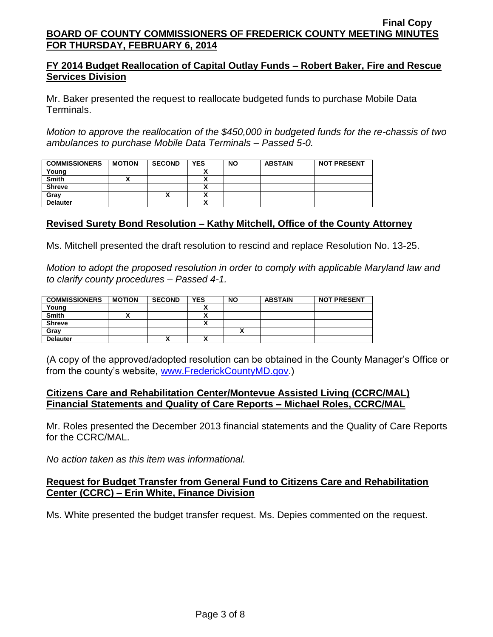# **FY 2014 Budget Reallocation of Capital Outlay Funds – Robert Baker, Fire and Rescue Services Division**

Mr. Baker presented the request to reallocate budgeted funds to purchase Mobile Data Terminals.

*Motion to approve the reallocation of the \$450,000 in budgeted funds for the re-chassis of two ambulances to purchase Mobile Data Terminals – Passed 5-0.*

| <b>COMMISSIONERS</b> | <b>MOTION</b> | <b>SECOND</b> | <b>YES</b> | <b>NO</b> | <b>ABSTAIN</b> | <b>NOT PRESENT</b> |
|----------------------|---------------|---------------|------------|-----------|----------------|--------------------|
| Young                |               |               |            |           |                |                    |
| <b>Smith</b>         |               |               |            |           |                |                    |
| <b>Shreve</b>        |               |               |            |           |                |                    |
| Grav                 |               | ,,            | ,,         |           |                |                    |
| <b>Delauter</b>      |               |               | ,,         |           |                |                    |

# **Revised Surety Bond Resolution – Kathy Mitchell, Office of the County Attorney**

Ms. Mitchell presented the draft resolution to rescind and replace Resolution No. 13-25.

*Motion to adopt the proposed resolution in order to comply with applicable Maryland law and to clarify county procedures – Passed 4-1.*

| <b>COMMISSIONERS</b> | <b>MOTION</b> | <b>SECOND</b> | <b>YES</b>                                       | <b>NO</b>                | <b>ABSTAIN</b> | <b>NOT PRESENT</b> |
|----------------------|---------------|---------------|--------------------------------------------------|--------------------------|----------------|--------------------|
| Young                |               |               |                                                  |                          |                |                    |
| <b>Smith</b>         |               |               | v<br>                                            |                          |                |                    |
| <b>Shreve</b>        |               |               |                                                  |                          |                |                    |
| Grav                 |               |               |                                                  | $\overline{\phantom{a}}$ |                |                    |
| <b>Delauter</b>      |               | $\mathbf{v}$  | $\ddot{\phantom{a}}$<br>$\overline{\phantom{a}}$ |                          |                |                    |

(A copy of the approved/adopted resolution can be obtained in the County Manager's Office or from the county's website, [www.FrederickCountyMD.gov.](http://www.frederickcountymd.gov/))

### **Citizens Care and Rehabilitation Center/Montevue Assisted Living (CCRC/MAL) Financial Statements and Quality of Care Reports – Michael Roles, CCRC/MAL**

Mr. Roles presented the December 2013 financial statements and the Quality of Care Reports for the CCRC/MAL.

*No action taken as this item was informational.*

# **Request for Budget Transfer from General Fund to Citizens Care and Rehabilitation Center (CCRC) – Erin White, Finance Division**

Ms. White presented the budget transfer request. Ms. Depies commented on the request.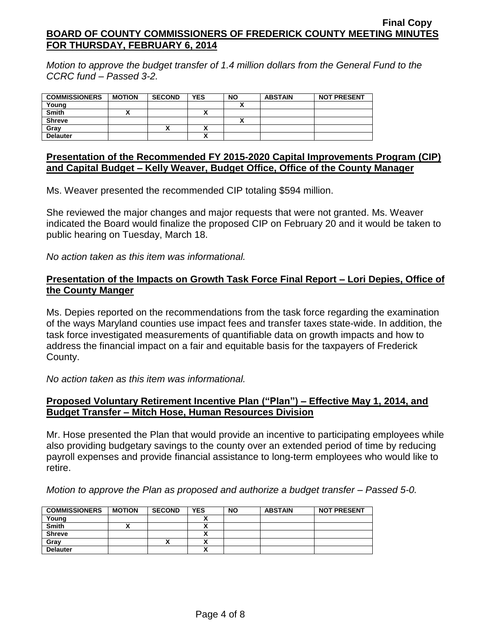*Motion to approve the budget transfer of 1.4 million dollars from the General Fund to the CCRC fund – Passed 3-2.*

| <b>COMMISSIONERS</b> | <b>MOTION</b> | <b>SECOND</b> | <b>YES</b> | <b>NO</b> | <b>ABSTAIN</b> | <b>NOT PRESENT</b> |
|----------------------|---------------|---------------|------------|-----------|----------------|--------------------|
| Young                |               |               |            |           |                |                    |
| <b>Smith</b>         |               |               |            |           |                |                    |
| <b>Shreve</b>        |               |               |            |           |                |                    |
| Grav                 |               | Λ             |            |           |                |                    |
| <b>Delauter</b>      |               |               |            |           |                |                    |

#### **Presentation of the Recommended FY 2015-2020 Capital Improvements Program (CIP) and Capital Budget – Kelly Weaver, Budget Office, Office of the County Manager**

Ms. Weaver presented the recommended CIP totaling \$594 million.

She reviewed the major changes and major requests that were not granted. Ms. Weaver indicated the Board would finalize the proposed CIP on February 20 and it would be taken to public hearing on Tuesday, March 18.

*No action taken as this item was informational.*

## **Presentation of the Impacts on Growth Task Force Final Report – Lori Depies, Office of the County Manger**

Ms. Depies reported on the recommendations from the task force regarding the examination of the ways Maryland counties use impact fees and transfer taxes state-wide. In addition, the task force investigated measurements of quantifiable data on growth impacts and how to address the financial impact on a fair and equitable basis for the taxpayers of Frederick County.

*No action taken as this item was informational.*

# **Proposed Voluntary Retirement Incentive Plan ("Plan") – Effective May 1, 2014, and Budget Transfer – Mitch Hose, Human Resources Division**

Mr. Hose presented the Plan that would provide an incentive to participating employees while also providing budgetary savings to the county over an extended period of time by reducing payroll expenses and provide financial assistance to long-term employees who would like to retire.

*Motion to approve the Plan as proposed and authorize a budget transfer – Passed 5-0.*

| <b>COMMISSIONERS</b> | <b>MOTION</b> | <b>SECOND</b> | <b>YES</b> | <b>NO</b> | <b>ABSTAIN</b> | <b>NOT PRESENT</b> |
|----------------------|---------------|---------------|------------|-----------|----------------|--------------------|
| Young                |               |               |            |           |                |                    |
| <b>Smith</b>         |               |               |            |           |                |                    |
| <b>Shreve</b>        |               |               |            |           |                |                    |
| Gray                 |               |               |            |           |                |                    |
| <b>Delauter</b>      |               |               | ~          |           |                |                    |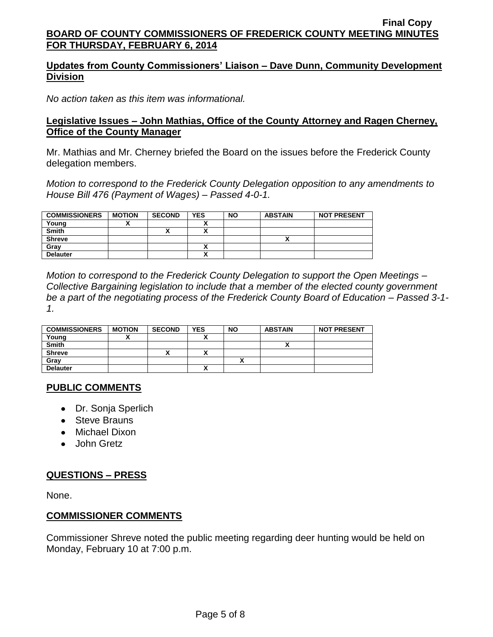# **Updates from County Commissioners' Liaison – Dave Dunn, Community Development Division**

*No action taken as this item was informational.*

#### **Legislative Issues – John Mathias, Office of the County Attorney and Ragen Cherney, Office of the County Manager**

Mr. Mathias and Mr. Cherney briefed the Board on the issues before the Frederick County delegation members.

*Motion to correspond to the Frederick County Delegation opposition to any amendments to House Bill 476 (Payment of Wages) – Passed 4-0-1.*

| <b>COMMISSIONERS</b> | <b>MOTION</b> | <b>SECOND</b> | <b>YES</b>                | <b>NO</b> | <b>ABSTAIN</b> | <b>NOT PRESENT</b> |
|----------------------|---------------|---------------|---------------------------|-----------|----------------|--------------------|
| Young                |               |               |                           |           |                |                    |
| <b>Smith</b>         |               |               | $\ddot{\phantom{a}}$      |           |                |                    |
| <b>Shreve</b>        |               |               |                           |           |                |                    |
| Grav                 |               |               |                           |           |                |                    |
| <b>Delauter</b>      |               |               | $\ddot{\phantom{a}}$<br>~ |           |                |                    |

*Motion to correspond to the Frederick County Delegation to support the Open Meetings – Collective Bargaining legislation to include that a member of the elected county government be a part of the negotiating process of the Frederick County Board of Education – Passed 3-1- 1.*

| <b>COMMISSIONERS</b> | <b>MOTION</b> | <b>SECOND</b> | <b>YES</b> | <b>NO</b> | <b>ABSTAIN</b> | <b>NOT PRESENT</b> |
|----------------------|---------------|---------------|------------|-----------|----------------|--------------------|
| Young                |               |               |            |           |                |                    |
| <b>Smith</b>         |               |               |            |           |                |                    |
| <b>Shreve</b>        |               |               |            |           |                |                    |
| Gray                 |               |               |            |           |                |                    |
| <b>Delauter</b>      |               |               |            |           |                |                    |

### **PUBLIC COMMENTS**

- Dr. Sonja Sperlich
- Steve Brauns
- Michael Dixon
- John Gretz

### **QUESTIONS – PRESS**

None.

### **COMMISSIONER COMMENTS**

Commissioner Shreve noted the public meeting regarding deer hunting would be held on Monday, February 10 at 7:00 p.m.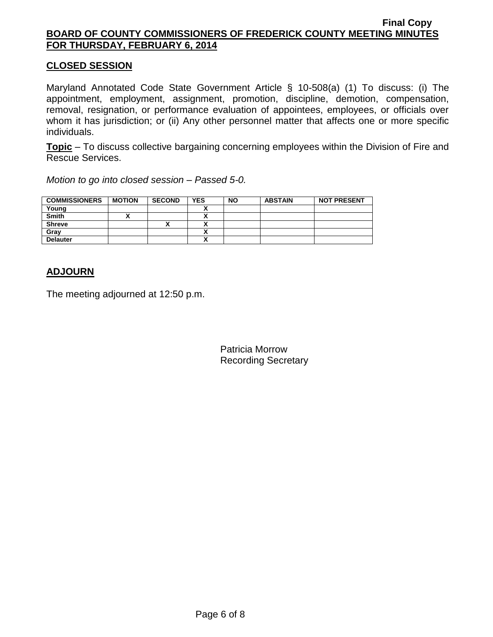### **CLOSED SESSION**

Maryland Annotated Code State Government Article § 10-508(a) (1) To discuss: (i) The appointment, employment, assignment, promotion, discipline, demotion, compensation, removal, resignation, or performance evaluation of appointees, employees, or officials over whom it has jurisdiction; or (ii) Any other personnel matter that affects one or more specific individuals.

**Topic** – To discuss collective bargaining concerning employees within the Division of Fire and Rescue Services.

*Motion to go into closed session – Passed 5-0.*

| <b>COMMISSIONERS</b> | <b>MOTION</b> | <b>SECOND</b> | <b>YES</b> | <b>NO</b> | <b>ABSTAIN</b> | <b>NOT PRESENT</b> |
|----------------------|---------------|---------------|------------|-----------|----------------|--------------------|
| Young                |               |               |            |           |                |                    |
| <b>Smith</b>         |               |               |            |           |                |                    |
| <b>Shreve</b>        |               |               |            |           |                |                    |
| Gray                 |               |               |            |           |                |                    |
| <b>Delauter</b>      |               |               |            |           |                |                    |

# **ADJOURN**

The meeting adjourned at 12:50 p.m.

Patricia Morrow Recording Secretary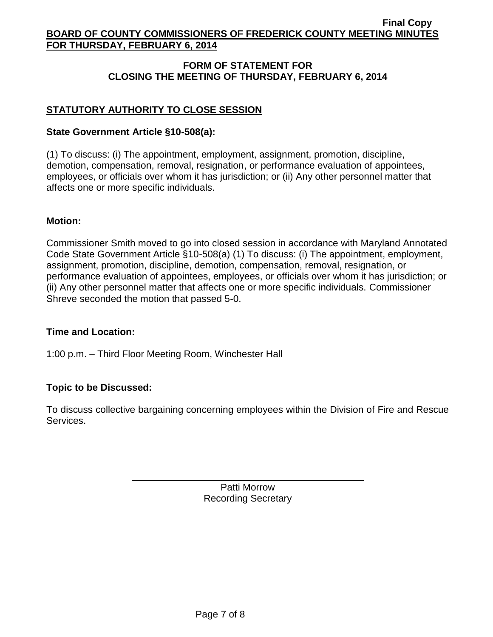# **FORM OF STATEMENT FOR CLOSING THE MEETING OF THURSDAY, FEBRUARY 6, 2014**

# **STATUTORY AUTHORITY TO CLOSE SESSION**

# **State Government Article §10-508(a):**

(1) To discuss: (i) The appointment, employment, assignment, promotion, discipline, demotion, compensation, removal, resignation, or performance evaluation of appointees, employees, or officials over whom it has jurisdiction; or (ii) Any other personnel matter that affects one or more specific individuals.

### **Motion:**

Commissioner Smith moved to go into closed session in accordance with Maryland Annotated Code State Government Article §10-508(a) (1) To discuss: (i) The appointment, employment, assignment, promotion, discipline, demotion, compensation, removal, resignation, or performance evaluation of appointees, employees, or officials over whom it has jurisdiction; or (ii) Any other personnel matter that affects one or more specific individuals. Commissioner Shreve seconded the motion that passed 5-0.

### **Time and Location:**

1:00 p.m. – Third Floor Meeting Room, Winchester Hall

# **Topic to be Discussed:**

To discuss collective bargaining concerning employees within the Division of Fire and Rescue Services.

> Patti Morrow Recording Secretary